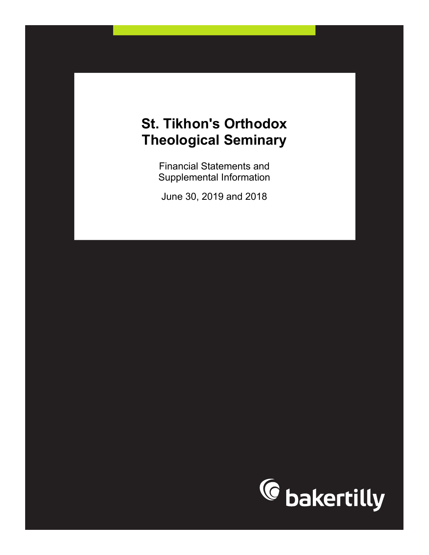Financial Statements and Supplemental Information

June 30, 2019 and 2018

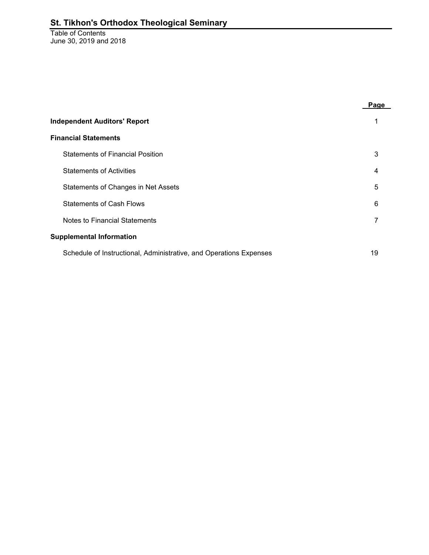#### Table of Contents June 30, 2019 and 2018

|                                                                    | Page |
|--------------------------------------------------------------------|------|
| <b>Independent Auditors' Report</b>                                |      |
| <b>Financial Statements</b>                                        |      |
| <b>Statements of Financial Position</b>                            | 3    |
| <b>Statements of Activities</b>                                    | 4    |
| Statements of Changes in Net Assets                                | 5    |
| <b>Statements of Cash Flows</b>                                    | 6    |
| Notes to Financial Statements                                      | 7    |
| <b>Supplemental Information</b>                                    |      |
| Schedule of Instructional, Administrative, and Operations Expenses | 19   |
|                                                                    |      |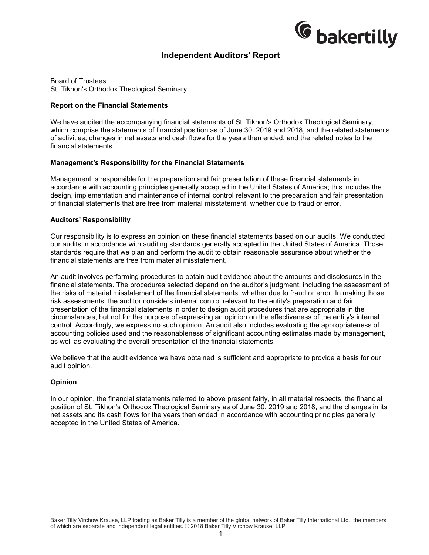

### **Independent Auditors' Report**

Board of Trustees St. Tikhon's Orthodox Theological Seminary

#### **Report on the Financial Statements**

We have audited the accompanying financial statements of St. Tikhon's Orthodox Theological Seminary, which comprise the statements of financial position as of June 30, 2019 and 2018, and the related statements of activities, changes in net assets and cash flows for the years then ended, and the related notes to the financial statements.

#### **Management's Responsibility for the Financial Statements**

Management is responsible for the preparation and fair presentation of these financial statements in accordance with accounting principles generally accepted in the United States of America; this includes the design, implementation and maintenance of internal control relevant to the preparation and fair presentation of financial statements that are free from material misstatement, whether due to fraud or error.

#### **Auditors' Responsibility**

Our responsibility is to express an opinion on these financial statements based on our audits. We conducted our audits in accordance with auditing standards generally accepted in the United States of America. Those standards require that we plan and perform the audit to obtain reasonable assurance about whether the financial statements are free from material misstatement.

An audit involves performing procedures to obtain audit evidence about the amounts and disclosures in the financial statements. The procedures selected depend on the auditor's judgment, including the assessment of the risks of material misstatement of the financial statements, whether due to fraud or error. In making those risk assessments, the auditor considers internal control relevant to the entity's preparation and fair presentation of the financial statements in order to design audit procedures that are appropriate in the circumstances, but not for the purpose of expressing an opinion on the effectiveness of the entity's internal control. Accordingly, we express no such opinion. An audit also includes evaluating the appropriateness of accounting policies used and the reasonableness of significant accounting estimates made by management, as well as evaluating the overall presentation of the financial statements.

We believe that the audit evidence we have obtained is sufficient and appropriate to provide a basis for our audit opinion.

#### **Opinion**

In our opinion, the financial statements referred to above present fairly, in all material respects, the financial position of St. Tikhon's Orthodox Theological Seminary as of June 30, 2019 and 2018, and the changes in its net assets and its cash flows for the years then ended in accordance with accounting principles generally accepted in the United States of America.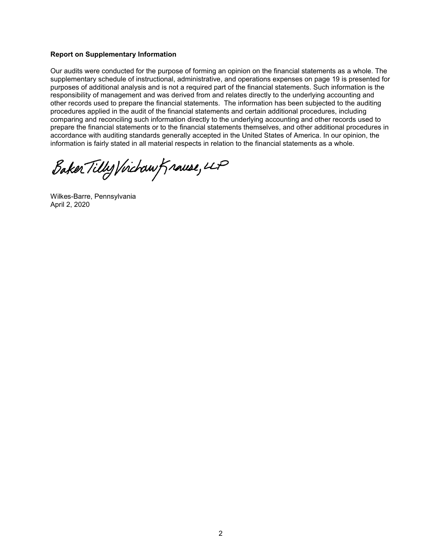#### **Report on Supplementary Information**

Our audits were conducted for the purpose of forming an opinion on the financial statements as a whole. The supplementary schedule of instructional, administrative, and operations expenses on page 19 is presented for purposes of additional analysis and is not a required part of the financial statements. Such information is the responsibility of management and was derived from and relates directly to the underlying accounting and other records used to prepare the financial statements. The information has been subjected to the auditing procedures applied in the audit of the financial statements and certain additional procedures, including comparing and reconciling such information directly to the underlying accounting and other records used to prepare the financial statements or to the financial statements themselves, and other additional procedures in accordance with auditing standards generally accepted in the United States of America. In our opinion, the information is fairly stated in all material respects in relation to the financial statements as a whole.

Baker Tilly Virchaw Knause, LLP

Wilkes-Barre, Pennsylvania April 2, 2020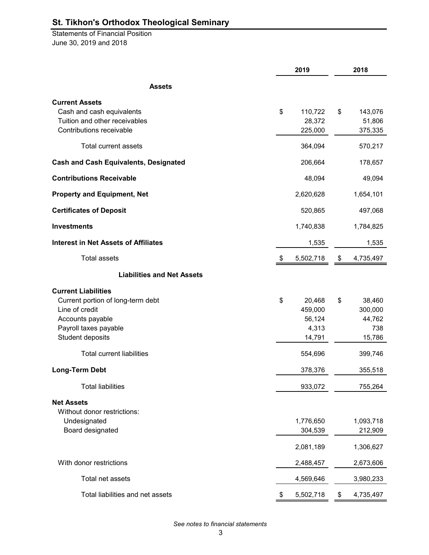Statements of Financial Position June 30, 2019 and 2018

| <b>Assets</b><br><b>Current Assets</b><br>\$<br>Cash and cash equivalents<br>110,722<br>\$<br>143,076<br>Tuition and other receivables<br>28,372<br>51,806<br>Contributions receivable<br>225,000<br>375,335<br><b>Total current assets</b><br>570,217<br>364,094<br><b>Cash and Cash Equivalents, Designated</b><br>206,664<br>178,657<br><b>Contributions Receivable</b><br>48,094<br>49,094<br><b>Property and Equipment, Net</b><br>2,620,628<br>1,654,101<br><b>Certificates of Deposit</b><br>520,865<br>497,068<br><b>Investments</b><br>1,740,838<br>1,784,825<br><b>Interest in Net Assets of Affiliates</b><br>1,535<br>1,535<br><b>Total assets</b><br>5,502,718<br>\$<br>4,735,497<br>\$<br><b>Liabilities and Net Assets</b> |
|-------------------------------------------------------------------------------------------------------------------------------------------------------------------------------------------------------------------------------------------------------------------------------------------------------------------------------------------------------------------------------------------------------------------------------------------------------------------------------------------------------------------------------------------------------------------------------------------------------------------------------------------------------------------------------------------------------------------------------------------|
|                                                                                                                                                                                                                                                                                                                                                                                                                                                                                                                                                                                                                                                                                                                                           |
|                                                                                                                                                                                                                                                                                                                                                                                                                                                                                                                                                                                                                                                                                                                                           |
|                                                                                                                                                                                                                                                                                                                                                                                                                                                                                                                                                                                                                                                                                                                                           |
|                                                                                                                                                                                                                                                                                                                                                                                                                                                                                                                                                                                                                                                                                                                                           |
|                                                                                                                                                                                                                                                                                                                                                                                                                                                                                                                                                                                                                                                                                                                                           |
|                                                                                                                                                                                                                                                                                                                                                                                                                                                                                                                                                                                                                                                                                                                                           |
|                                                                                                                                                                                                                                                                                                                                                                                                                                                                                                                                                                                                                                                                                                                                           |
|                                                                                                                                                                                                                                                                                                                                                                                                                                                                                                                                                                                                                                                                                                                                           |
|                                                                                                                                                                                                                                                                                                                                                                                                                                                                                                                                                                                                                                                                                                                                           |
|                                                                                                                                                                                                                                                                                                                                                                                                                                                                                                                                                                                                                                                                                                                                           |
|                                                                                                                                                                                                                                                                                                                                                                                                                                                                                                                                                                                                                                                                                                                                           |
| <b>Current Liabilities</b><br>\$<br>Current portion of long-term debt<br>20,468<br>\$<br>38,460<br>Line of credit<br>459,000<br>300,000<br>Accounts payable<br>56,124<br>44,762<br>Payroll taxes payable<br>4,313<br>738<br>Student deposits<br>14,791<br>15,786                                                                                                                                                                                                                                                                                                                                                                                                                                                                          |
| <b>Total current liabilities</b><br>554,696<br>399,746                                                                                                                                                                                                                                                                                                                                                                                                                                                                                                                                                                                                                                                                                    |
| <b>Long-Term Debt</b><br>378,376<br>355,518                                                                                                                                                                                                                                                                                                                                                                                                                                                                                                                                                                                                                                                                                               |
| <b>Total liabilities</b><br>933,072<br>755,264                                                                                                                                                                                                                                                                                                                                                                                                                                                                                                                                                                                                                                                                                            |
| <b>Net Assets</b><br>Without donor restrictions:<br>Undesignated<br>1,776,650<br>1,093,718<br>Board designated<br>304,539<br>212,909<br>2,081,189<br>1,306,627                                                                                                                                                                                                                                                                                                                                                                                                                                                                                                                                                                            |
| With donor restrictions<br>2,488,457<br>2,673,606                                                                                                                                                                                                                                                                                                                                                                                                                                                                                                                                                                                                                                                                                         |
| Total net assets<br>4,569,646<br>3,980,233                                                                                                                                                                                                                                                                                                                                                                                                                                                                                                                                                                                                                                                                                                |
| Total liabilities and net assets<br>\$<br>5,502,718<br>4,735,497<br>\$                                                                                                                                                                                                                                                                                                                                                                                                                                                                                                                                                                                                                                                                    |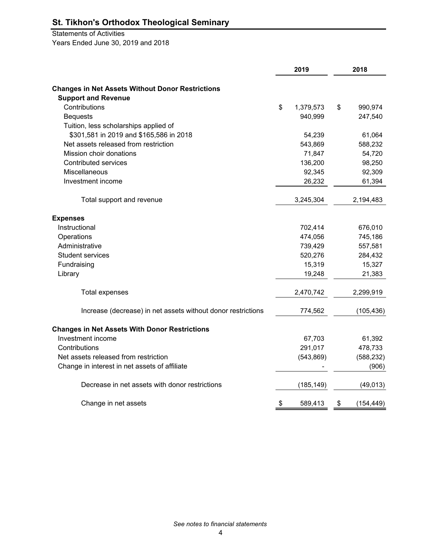## Statements of Activities

Years Ended June 30, 2019 and 2018

|                                                              | 2019 |            |    | 2018       |
|--------------------------------------------------------------|------|------------|----|------------|
| <b>Changes in Net Assets Without Donor Restrictions</b>      |      |            |    |            |
| <b>Support and Revenue</b>                                   |      |            |    |            |
| Contributions                                                | \$   | 1,379,573  | \$ | 990,974    |
| <b>Bequests</b>                                              |      | 940,999    |    | 247,540    |
| Tuition, less scholarships applied of                        |      |            |    |            |
| \$301,581 in 2019 and \$165,586 in 2018                      |      | 54,239     |    | 61,064     |
| Net assets released from restriction                         |      | 543,869    |    | 588,232    |
| Mission choir donations                                      |      |            |    |            |
|                                                              |      | 71,847     |    | 54,720     |
| <b>Contributed services</b>                                  |      | 136,200    |    | 98,250     |
| Miscellaneous                                                |      | 92,345     |    | 92,309     |
| Investment income                                            |      | 26,232     |    | 61,394     |
| Total support and revenue                                    |      | 3,245,304  |    | 2,194,483  |
| <b>Expenses</b>                                              |      |            |    |            |
| Instructional                                                |      | 702,414    |    | 676,010    |
| Operations                                                   |      | 474,056    |    | 745,186    |
| Administrative                                               |      | 739,429    |    | 557,581    |
| <b>Student services</b>                                      |      | 520,276    |    | 284,432    |
| Fundraising                                                  |      | 15,319     |    | 15,327     |
| Library                                                      |      | 19,248     |    | 21,383     |
|                                                              |      |            |    |            |
| Total expenses                                               |      | 2,470,742  |    | 2,299,919  |
| Increase (decrease) in net assets without donor restrictions |      | 774,562    |    | (105, 436) |
| <b>Changes in Net Assets With Donor Restrictions</b>         |      |            |    |            |
| Investment income                                            |      | 67,703     |    | 61,392     |
| Contributions                                                |      | 291,017    |    | 478,733    |
| Net assets released from restriction                         |      | (543, 869) |    | (588, 232) |
| Change in interest in net assets of affiliate                |      |            |    | (906)      |
| Decrease in net assets with donor restrictions               |      | (185, 149) |    | (49, 013)  |
| Change in net assets                                         | \$   | 589,413    | \$ | (154, 449) |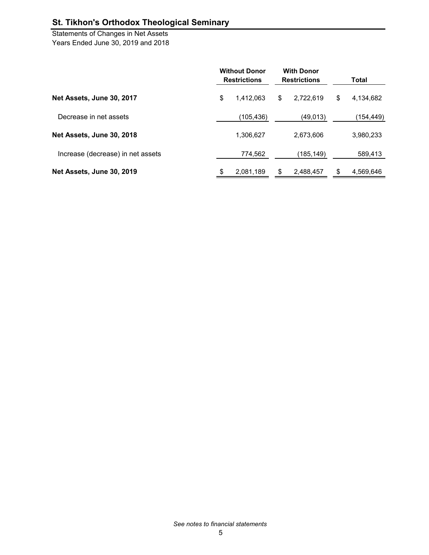Statements of Changes in Net Assets Years Ended June 30, 2019 and 2018

|                                   | <b>Without Donor</b><br><b>Restrictions</b> |    | <b>With Donor</b><br><b>Restrictions</b> | Total |           |
|-----------------------------------|---------------------------------------------|----|------------------------------------------|-------|-----------|
| Net Assets, June 30, 2017         | \$<br>1,412,063                             | \$ | 2,722,619                                | \$    | 4,134,682 |
| Decrease in net assets            | (105, 436)                                  |    | (49,013)                                 |       | (154,449) |
| Net Assets, June 30, 2018         | 1,306,627                                   |    | 2,673,606                                |       | 3,980,233 |
| Increase (decrease) in net assets | 774,562                                     |    | (185,149)                                |       | 589,413   |
| Net Assets, June 30, 2019         | \$<br>2,081,189                             | S  | 2.488.457                                | \$    | 4,569,646 |

*See notes to financial statements*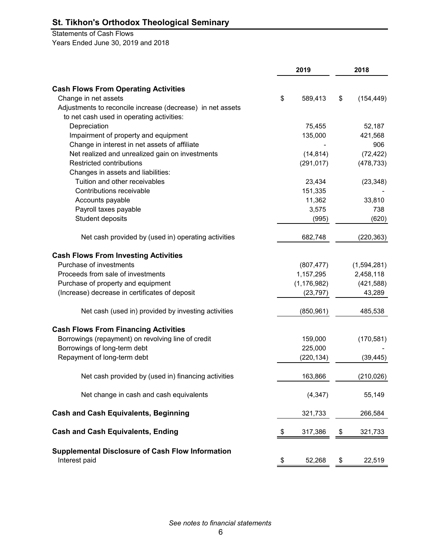## Statements of Cash Flows

Years Ended June 30, 2019 and 2018

|                                                                          | 2019          | 2018 |             |  |
|--------------------------------------------------------------------------|---------------|------|-------------|--|
|                                                                          |               |      |             |  |
| <b>Cash Flows From Operating Activities</b>                              |               |      |             |  |
| Change in net assets                                                     | \$<br>589,413 | \$   | (154, 449)  |  |
| Adjustments to reconcile increase (decrease) in net assets               |               |      |             |  |
| to net cash used in operating activities:                                |               |      |             |  |
| Depreciation                                                             | 75,455        |      | 52,187      |  |
| Impairment of property and equipment                                     | 135,000       |      | 421,568     |  |
| Change in interest in net assets of affiliate                            |               |      | 906         |  |
| Net realized and unrealized gain on investments                          | (14, 814)     |      | (72, 422)   |  |
| Restricted contributions                                                 | (291, 017)    |      | (478, 733)  |  |
| Changes in assets and liabilities:                                       |               |      |             |  |
| Tuition and other receivables                                            | 23,434        |      | (23, 348)   |  |
| Contributions receivable                                                 | 151,335       |      |             |  |
| Accounts payable                                                         | 11,362        |      | 33,810      |  |
| Payroll taxes payable                                                    | 3,575         |      | 738         |  |
| Student deposits                                                         | (995)         |      | (620)       |  |
| Net cash provided by (used in) operating activities                      | 682,748       |      | (220, 363)  |  |
| <b>Cash Flows From Investing Activities</b>                              |               |      |             |  |
| Purchase of investments                                                  | (807, 477)    |      | (1,594,281) |  |
| Proceeds from sale of investments                                        | 1,157,295     |      | 2,458,118   |  |
| Purchase of property and equipment                                       | (1, 176, 982) |      | (421, 588)  |  |
| (Increase) decrease in certificates of deposit                           | (23, 797)     |      | 43,289      |  |
| Net cash (used in) provided by investing activities                      | (850, 961)    |      | 485,538     |  |
| <b>Cash Flows From Financing Activities</b>                              |               |      |             |  |
| Borrowings (repayment) on revolving line of credit                       | 159,000       |      | (170, 581)  |  |
| Borrowings of long-term debt                                             | 225,000       |      |             |  |
| Repayment of long-term debt                                              | (220, 134)    |      | (39, 445)   |  |
| Net cash provided by (used in) financing activities                      | 163,866       |      | (210, 026)  |  |
| Net change in cash and cash equivalents                                  | (4, 347)      |      | 55,149      |  |
| <b>Cash and Cash Equivalents, Beginning</b>                              | 321,733       |      | 266,584     |  |
| <b>Cash and Cash Equivalents, Ending</b>                                 | \$<br>317,386 | \$   | 321,733     |  |
| <b>Supplemental Disclosure of Cash Flow Information</b><br>Interest paid | \$<br>52,268  | \$   | 22,519      |  |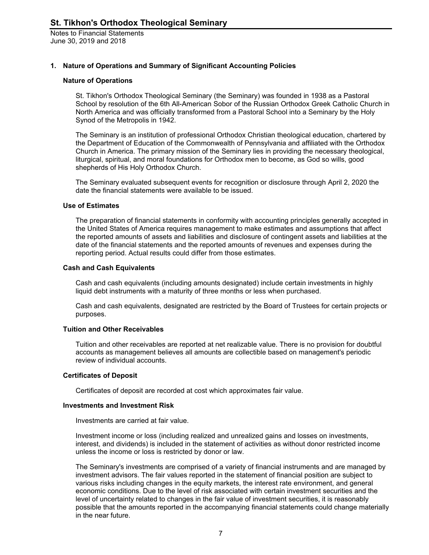Notes to Financial Statements June 30, 2019 and 2018

#### **1. Nature of Operations and Summary of Significant Accounting Policies**

#### **Nature of Operations**

St. Tikhon's Orthodox Theological Seminary (the Seminary) was founded in 1938 as a Pastoral School by resolution of the 6th All-American Sobor of the Russian Orthodox Greek Catholic Church in North America and was officially transformed from a Pastoral School into a Seminary by the Holy Synod of the Metropolis in 1942.

The Seminary is an institution of professional Orthodox Christian theological education, chartered by the Department of Education of the Commonwealth of Pennsylvania and affiliated with the Orthodox Church in America. The primary mission of the Seminary lies in providing the necessary theological, liturgical, spiritual, and moral foundations for Orthodox men to become, as God so wills, good shepherds of His Holy Orthodox Church.

The Seminary evaluated subsequent events for recognition or disclosure through April 2, 2020 the date the financial statements were available to be issued.

#### **Use of Estimates**

The preparation of financial statements in conformity with accounting principles generally accepted in the United States of America requires management to make estimates and assumptions that affect the reported amounts of assets and liabilities and disclosure of contingent assets and liabilities at the date of the financial statements and the reported amounts of revenues and expenses during the reporting period. Actual results could differ from those estimates.

#### **Cash and Cash Equivalents**

Cash and cash equivalents (including amounts designated) include certain investments in highly liquid debt instruments with a maturity of three months or less when purchased.

Cash and cash equivalents, designated are restricted by the Board of Trustees for certain projects or purposes.

#### **Tuition and Other Receivables**

Tuition and other receivables are reported at net realizable value. There is no provision for doubtful accounts as management believes all amounts are collectible based on management's periodic review of individual accounts.

#### **Certificates of Deposit**

Certificates of deposit are recorded at cost which approximates fair value.

#### **Investments and Investment Risk**

Investments are carried at fair value.

Investment income or loss (including realized and unrealized gains and losses on investments, interest, and dividends) is included in the statement of activities as without donor restricted income unless the income or loss is restricted by donor or law.

The Seminary's investments are comprised of a variety of financial instruments and are managed by investment advisors. The fair values reported in the statement of financial position are subject to various risks including changes in the equity markets, the interest rate environment, and general economic conditions. Due to the level of risk associated with certain investment securities and the level of uncertainty related to changes in the fair value of investment securities, it is reasonably possible that the amounts reported in the accompanying financial statements could change materially in the near future.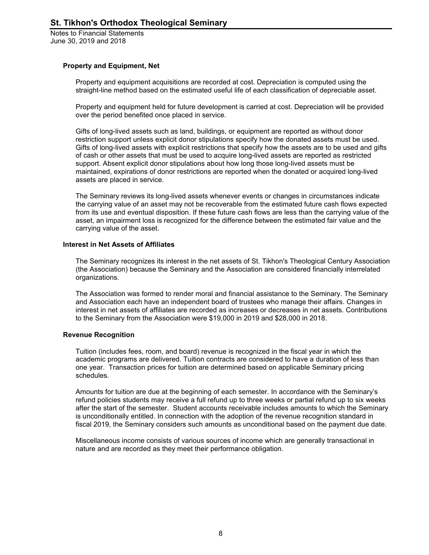#### **Property and Equipment, Net**

Property and equipment acquisitions are recorded at cost. Depreciation is computed using the straight-line method based on the estimated useful life of each classification of depreciable asset.

Property and equipment held for future development is carried at cost. Depreciation will be provided over the period benefited once placed in service.

Gifts of long-lived assets such as land, buildings, or equipment are reported as without donor restriction support unless explicit donor stipulations specify how the donated assets must be used. Gifts of long-lived assets with explicit restrictions that specify how the assets are to be used and gifts of cash or other assets that must be used to acquire long-lived assets are reported as restricted support. Absent explicit donor stipulations about how long those long-lived assets must be maintained, expirations of donor restrictions are reported when the donated or acquired long-lived assets are placed in service.

The Seminary reviews its long-lived assets whenever events or changes in circumstances indicate the carrying value of an asset may not be recoverable from the estimated future cash flows expected from its use and eventual disposition. If these future cash flows are less than the carrying value of the asset, an impairment loss is recognized for the difference between the estimated fair value and the carrying value of the asset.

#### **Interest in Net Assets of Affiliates**

The Seminary recognizes its interest in the net assets of St. Tikhon's Theological Century Association (the Association) because the Seminary and the Association are considered financially interrelated organizations.

The Association was formed to render moral and financial assistance to the Seminary. The Seminary and Association each have an independent board of trustees who manage their affairs. Changes in interest in net assets of affiliates are recorded as increases or decreases in net assets. Contributions to the Seminary from the Association were \$19,000 in 2019 and \$28,000 in 2018.

#### **Revenue Recognition**

Tuition (includes fees, room, and board) revenue is recognized in the fiscal year in which the academic programs are delivered. Tuition contracts are considered to have a duration of less than one year. Transaction prices for tuition are determined based on applicable Seminary pricing schedules.

Amounts for tuition are due at the beginning of each semester. In accordance with the Seminary's refund policies students may receive a full refund up to three weeks or partial refund up to six weeks after the start of the semester. Student accounts receivable includes amounts to which the Seminary is unconditionally entitled. In connection with the adoption of the revenue recognition standard in fiscal 2019, the Seminary considers such amounts as unconditional based on the payment due date.

Miscellaneous income consists of various sources of income which are generally transactional in nature and are recorded as they meet their performance obligation.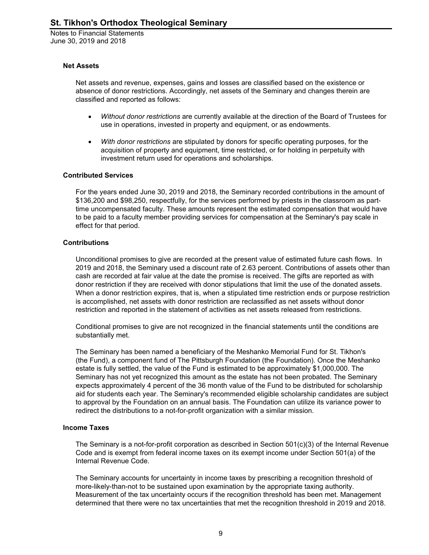#### **Net Assets**

Net assets and revenue, expenses, gains and losses are classified based on the existence or absence of donor restrictions. Accordingly, net assets of the Seminary and changes therein are classified and reported as follows:

- *Without donor restrictions* are currently available at the direction of the Board of Trustees for use in operations, invested in property and equipment, or as endowments.
- *With donor restrictions* are stipulated by donors for specific operating purposes, for the acquisition of property and equipment, time restricted, or for holding in perpetuity with investment return used for operations and scholarships.

#### **Contributed Services**

For the years ended June 30, 2019 and 2018, the Seminary recorded contributions in the amount of \$136,200 and \$98,250, respectfully, for the services performed by priests in the classroom as parttime uncompensated faculty. These amounts represent the estimated compensation that would have to be paid to a faculty member providing services for compensation at the Seminary's pay scale in effect for that period.

#### **Contributions**

Unconditional promises to give are recorded at the present value of estimated future cash flows. In 2019 and 2018, the Seminary used a discount rate of 2.63 percent. Contributions of assets other than cash are recorded at fair value at the date the promise is received. The gifts are reported as with donor restriction if they are received with donor stipulations that limit the use of the donated assets. When a donor restriction expires, that is, when a stipulated time restriction ends or purpose restriction is accomplished, net assets with donor restriction are reclassified as net assets without donor restriction and reported in the statement of activities as net assets released from restrictions.

Conditional promises to give are not recognized in the financial statements until the conditions are substantially met.

The Seminary has been named a beneficiary of the Meshanko Memorial Fund for St. Tikhon's (the Fund), a component fund of The Pittsburgh Foundation (the Foundation). Once the Meshanko estate is fully settled, the value of the Fund is estimated to be approximately \$1,000,000. The Seminary has not yet recognized this amount as the estate has not been probated. The Seminary expects approximately 4 percent of the 36 month value of the Fund to be distributed for scholarship aid for students each year. The Seminary's recommended eligible scholarship candidates are subject to approval by the Foundation on an annual basis. The Foundation can utilize its variance power to redirect the distributions to a not-for-profit organization with a similar mission.

#### **Income Taxes**

The Seminary is a not-for-profit corporation as described in Section 501(c)(3) of the Internal Revenue Code and is exempt from federal income taxes on its exempt income under Section 501(a) of the Internal Revenue Code.

The Seminary accounts for uncertainty in income taxes by prescribing a recognition threshold of more-likely-than-not to be sustained upon examination by the appropriate taxing authority. Measurement of the tax uncertainty occurs if the recognition threshold has been met. Management determined that there were no tax uncertainties that met the recognition threshold in 2019 and 2018.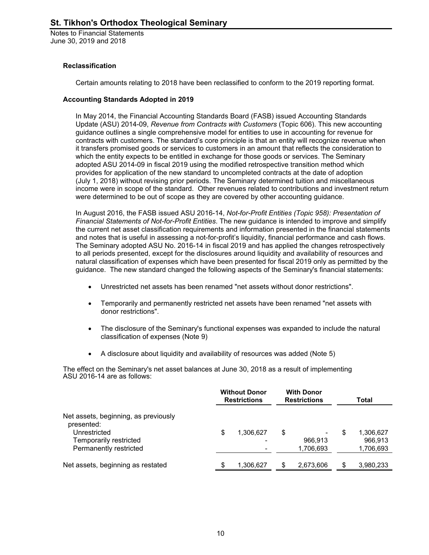Notes to Financial Statements June 30, 2019 and 2018

#### **Reclassification**

Certain amounts relating to 2018 have been reclassified to conform to the 2019 reporting format.

#### **Accounting Standards Adopted in 2019**

In May 2014, the Financial Accounting Standards Board (FASB) issued Accounting Standards Update (ASU) 2014-09, *Revenue from Contracts with Customers* (Topic 606). This new accounting guidance outlines a single comprehensive model for entities to use in accounting for revenue for contracts with customers. The standard's core principle is that an entity will recognize revenue when it transfers promised goods or services to customers in an amount that reflects the consideration to which the entity expects to be entitled in exchange for those goods or services. The Seminary adopted ASU 2014-09 in fiscal 2019 using the modified retrospective transition method which provides for application of the new standard to uncompleted contracts at the date of adoption (July 1, 2018) without revising prior periods. The Seminary determined tuition and miscellaneous income were in scope of the standard. Other revenues related to contributions and investment return were determined to be out of scope as they are covered by other accounting guidance.

In August 2016, the FASB issued ASU 2016-14, *Not-for-Profit Entities (Topic 958): Presentation of Financial Statements of Not-for-Profit Entities*. The new guidance is intended to improve and simplify the current net asset classification requirements and information presented in the financial statements and notes that is useful in assessing a not-for-profit's liquidity, financial performance and cash flows. The Seminary adopted ASU No. 2016-14 in fiscal 2019 and has applied the changes retrospectively to all periods presented, except for the disclosures around liquidity and availability of resources and natural classification of expenses which have been presented for fiscal 2019 only as permitted by the guidance. The new standard changed the following aspects of the Seminary's financial statements:

- Unrestricted net assets has been renamed "net assets without donor restrictions".
- Temporarily and permanently restricted net assets have been renamed "net assets with donor restrictions".
- The disclosure of the Seminary's functional expenses was expanded to include the natural classification of expenses (Note 9)
- A disclosure about liquidity and availability of resources was added (Note 5)

The effect on the Seminary's net asset balances at June 30, 2018 as a result of implementing ASU 2016-14 are as follows:

|                                                    | <b>Without Donor</b><br><b>Restrictions</b> |     | <b>With Donor</b><br><b>Restrictions</b> |    | Total     |
|----------------------------------------------------|---------------------------------------------|-----|------------------------------------------|----|-----------|
| Net assets, beginning, as previously<br>presented: |                                             |     |                                          |    |           |
| Unrestricted                                       | \$<br>1,306,627                             | \$  |                                          | \$ | 1,306,627 |
| Temporarily restricted                             |                                             |     | 966.913                                  |    | 966.913   |
| Permanently restricted                             |                                             |     | 1,706,693                                |    | 1,706,693 |
| Net assets, beginning as restated                  | \$<br>1,306,627                             | \$. | 2,673,606                                | S  | 3,980,233 |
|                                                    |                                             |     |                                          |    |           |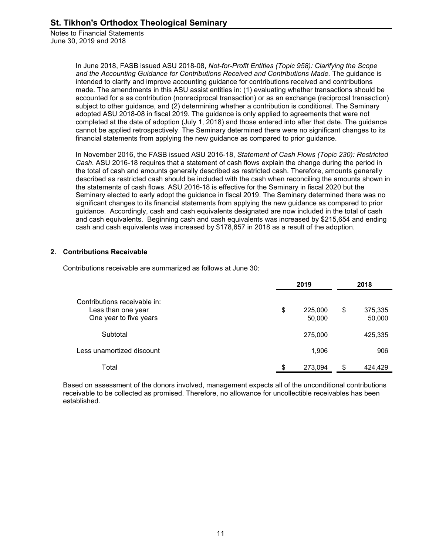> In June 2018, FASB issued ASU 2018-08, *Not-for-Profit Entities (Topic 958): Clarifying the Scope and the Accounting Guidance for Contributions Received and Contributions Made.* The guidance is intended to clarify and improve accounting guidance for contributions received and contributions made. The amendments in this ASU assist entities in: (1) evaluating whether transactions should be accounted for a as contribution (nonreciprocal transaction) or as an exchange (reciprocal transaction) subject to other guidance, and (2) determining whether a contribution is conditional. The Seminary adopted ASU 2018-08 in fiscal 2019. The guidance is only applied to agreements that were not completed at the date of adoption (July 1, 2018) and those entered into after that date. The guidance cannot be applied retrospectively. The Seminary determined there were no significant changes to its financial statements from applying the new guidance as compared to prior guidance.

> In November 2016, the FASB issued ASU 2016-18, *Statement of Cash Flows (Topic 230): Restricted Cash*. ASU 2016-18 requires that a statement of cash flows explain the change during the period in the total of cash and amounts generally described as restricted cash. Therefore, amounts generally described as restricted cash should be included with the cash when reconciling the amounts shown in the statements of cash flows. ASU 2016-18 is effective for the Seminary in fiscal 2020 but the Seminary elected to early adopt the guidance in fiscal 2019. The Seminary determined there was no significant changes to its financial statements from applying the new guidance as compared to prior guidance. Accordingly, cash and cash equivalents designated are now included in the total of cash and cash equivalents. Beginning cash and cash equivalents was increased by \$215,654 and ending cash and cash equivalents was increased by \$178,657 in 2018 as a result of the adoption.

#### **2. Contributions Receivable**

Contributions receivable are summarized as follows at June 30:

|                                                                              |    | 2019              |     | 2018              |
|------------------------------------------------------------------------------|----|-------------------|-----|-------------------|
| Contributions receivable in:<br>Less than one year<br>One year to five years |    | 225,000<br>50,000 | \$  | 375,335<br>50,000 |
| Subtotal                                                                     |    | 275,000           |     | 425,335           |
| Less unamortized discount                                                    |    | 1,906             |     | 906               |
| Total                                                                        | £. | 273,094           | \$. | 424,429           |

Based on assessment of the donors involved, management expects all of the unconditional contributions receivable to be collected as promised. Therefore, no allowance for uncollectible receivables has been established.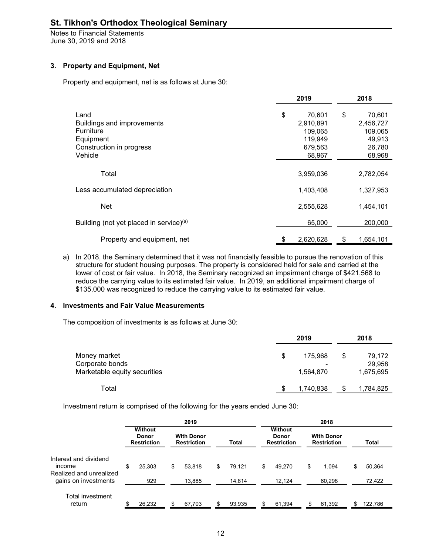#### **3. Property and Equipment, Net**

Property and equipment, net is as follows at June 30:

|                                                                                                     | 2019                                                                 | 2018                                                               |
|-----------------------------------------------------------------------------------------------------|----------------------------------------------------------------------|--------------------------------------------------------------------|
| Land<br>Buildings and improvements<br>Furniture<br>Equipment<br>Construction in progress<br>Vehicle | \$<br>70,601<br>2,910,891<br>109,065<br>119,949<br>679,563<br>68,967 | \$<br>70,601<br>2,456,727<br>109,065<br>49,913<br>26,780<br>68,968 |
| Total                                                                                               | 3,959,036                                                            | 2,782,054                                                          |
| Less accumulated depreciation                                                                       | 1,403,408                                                            | 1,327,953                                                          |
| <b>Net</b>                                                                                          | 2,555,628                                                            | 1,454,101                                                          |
| Building (not yet placed in service)(a)                                                             | 65,000                                                               | 200,000                                                            |
| Property and equipment, net                                                                         | \$<br>2,620,628                                                      | \$<br>1,654,101                                                    |

a) In 2018, the Seminary determined that it was not financially feasible to pursue the renovation of this structure for student housing purposes. The property is considered held for sale and carried at the lower of cost or fair value. In 2018, the Seminary recognized an impairment charge of \$421,568 to reduce the carrying value to its estimated fair value. In 2019, an additional impairment charge of \$135,000 was recognized to reduce the carrying value to its estimated fair value.

#### **4. Investments and Fair Value Measurements**

The composition of investments is as follows at June 30:

|                                                                 |    | 2019                      |    | 2018                          |
|-----------------------------------------------------------------|----|---------------------------|----|-------------------------------|
| Money market<br>Corporate bonds<br>Marketable equity securities | \$ | 175,968<br>٠<br>1,564,870 | \$ | 79,172<br>29,958<br>1,675,695 |
| Total                                                           | S  | 1,740,838                 | S  | 1,784,825                     |

Investment return is comprised of the following for the years ended June 30:

|                                                            | 2019 |                                               |    |                                         |    | 2018         |    |                                                      |    |                                         |    |              |
|------------------------------------------------------------|------|-----------------------------------------------|----|-----------------------------------------|----|--------------|----|------------------------------------------------------|----|-----------------------------------------|----|--------------|
|                                                            |      | <b>Without</b><br>Donor<br><b>Restriction</b> |    | <b>With Donor</b><br><b>Restriction</b> |    | <b>Total</b> |    | <b>Without</b><br><b>Donor</b><br><b>Restriction</b> |    | <b>With Donor</b><br><b>Restriction</b> |    | <b>Total</b> |
| Interest and dividend<br>income<br>Realized and unrealized | \$   | 25,303                                        | \$ | 53,818                                  | \$ | 79.121       | \$ | 49.270                                               | \$ | 1.094                                   | \$ | 50,364       |
| gains on investments                                       |      | 929                                           |    | 13.885                                  |    | 14.814       |    | 12,124                                               |    | 60.298                                  |    | 72,422       |
| Total investment<br>return                                 |      | 26,232                                        |    | 67,703                                  | \$ | 93,935       | S  | 61.394                                               |    | 61,392                                  |    | 122,786      |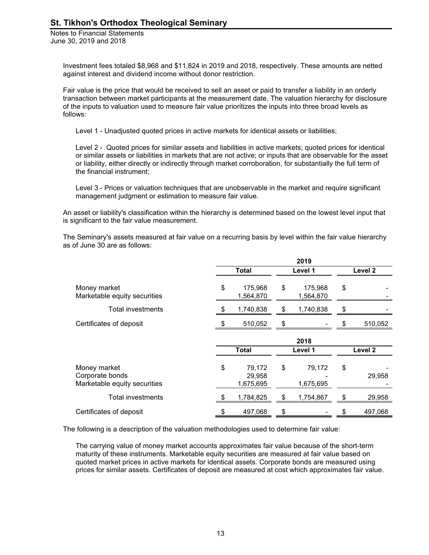> Investment fees totaled \$8,968 and \$11,824 in 2019 and 2018, respectively. These amounts are netted against interest and dividend income without donor restriction.

Fair value is the price that would be received to sell an asset or paid to transfer a liability in an orderly transaction between market participants at the measurement date. The valuation hierarchy for disclosure of the inputs to valuation used to measure fair value prioritizes the inputs into three broad levels as follows:

Level 1 - Unadjusted quoted prices in active markets for identical assets or liabilities;

Level 2 - Quoted prices for similar assets and liabilities in active markets; quoted prices for identical or similar assets or liabilities in markets that are not active; or inputs that are observable for the asset or liability, either directly or indirectly through market corroboration, for substantially the full term of the financial instrument;

Level 3 - Prices or valuation techniques that are unobservable in the market and require significant management judgment or estimation to measure fair value.

An asset or liability's classification within the hierarchy is determined based on the lowest level input that is significant to the fair value measurement.

The Seminary's assets measured at fair value on a recurring basis by level within the fair value hierarchy as of June 30 are as follows:

|                                                                 | 2019 |                               |         |                      |    |                |
|-----------------------------------------------------------------|------|-------------------------------|---------|----------------------|----|----------------|
|                                                                 |      | <b>Total</b>                  | Level 1 |                      |    | Level 2        |
| Money market<br>Marketable equity securities                    | \$   | 175,968<br>1,564,870          | \$      | 175,968<br>1,564,870 | \$ |                |
| <b>Total investments</b>                                        |      | 1,740,838                     | \$      | 1,740,838            | \$ |                |
| Certificates of deposit                                         |      | 510,052                       | \$      |                      |    | 510,052        |
|                                                                 |      | <b>Total</b>                  |         | 2018<br>Level 1      |    | <b>Level 2</b> |
| Money market<br>Corporate bonds<br>Marketable equity securities | \$   | 79,172<br>29,958<br>1,675,695 | \$      | 79,172<br>1,675,695  | \$ | 29,958         |
| <b>Total investments</b>                                        |      | 1,784,825                     | \$      | 1,754,867            | S  | 29,958         |
| Certificates of deposit                                         |      | 497,068                       | \$      |                      |    | 497,068        |

The following is a description of the valuation methodologies used to determine fair value:

The carrying value of money market accounts approximates fair value because of the short-term maturity of these instruments. Marketable equity securities are measured at fair value based on quoted market prices in active markets for identical assets. Corporate bonds are measured using prices for similar assets. Certificates of deposit are measured at cost which approximates fair value.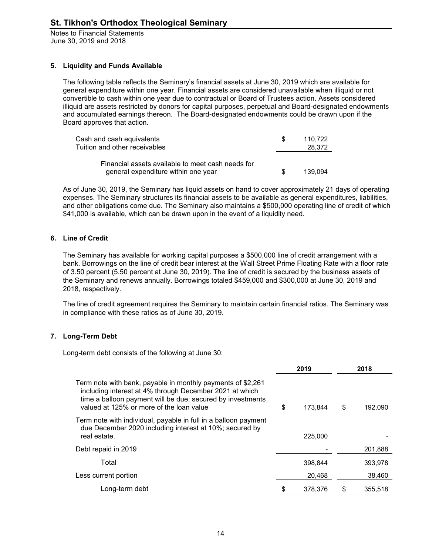#### **5. Liquidity and Funds Available**

The following table reflects the Seminary's financial assets at June 30, 2019 which are available for general expenditure within one year. Financial assets are considered unavailable when illiquid or not convertible to cash within one year due to contractual or Board of Trustees action. Assets considered illiquid are assets restricted by donors for capital purposes, perpetual and Board-designated endowments and accumulated earnings thereon. The Board-designated endowments could be drawn upon if the Board approves that action.

| Cash and cash equivalents<br>Tuition and other receivables                               | £. | 110.722<br>28.372 |
|------------------------------------------------------------------------------------------|----|-------------------|
| Financial assets available to meet cash needs for<br>general expenditure within one year |    | 139.094           |

As of June 30, 2019, the Seminary has liquid assets on hand to cover approximately 21 days of operating expenses. The Seminary structures its financial assets to be available as general expenditures, liabilities, and other obligations come due. The Seminary also maintains a \$500,000 operating line of credit of which \$41,000 is available, which can be drawn upon in the event of a liquidity need.

#### **6. Line of Credit**

The Seminary has available for working capital purposes a \$500,000 line of credit arrangement with a bank. Borrowings on the line of credit bear interest at the Wall Street Prime Floating Rate with a floor rate of 3.50 percent (5.50 percent at June 30, 2019). The line of credit is secured by the business assets of the Seminary and renews annually. Borrowings totaled \$459,000 and \$300,000 at June 30, 2019 and 2018, respectively.

The line of credit agreement requires the Seminary to maintain certain financial ratios. The Seminary was in compliance with these ratios as of June 30, 2019.

#### **7. Long-Term Debt**

Long-term debt consists of the following at June 30:

|                                                                                                                                                                                                                                  | 2019          | 2018          |
|----------------------------------------------------------------------------------------------------------------------------------------------------------------------------------------------------------------------------------|---------------|---------------|
| Term note with bank, payable in monthly payments of \$2,261<br>including interest at 4% through December 2021 at which<br>time a balloon payment will be due; secured by investments<br>valued at 125% or more of the loan value | \$<br>173.844 | \$<br>192.090 |
| Term note with individual, payable in full in a balloon payment<br>due December 2020 including interest at 10%; secured by<br>real estate.                                                                                       | 225,000       |               |
| Debt repaid in 2019                                                                                                                                                                                                              |               | 201,888       |
| Total                                                                                                                                                                                                                            | 398.844       | 393.978       |
| Less current portion                                                                                                                                                                                                             | 20,468        | 38,460        |
| Long-term debt                                                                                                                                                                                                                   | 378,376       | 355,518       |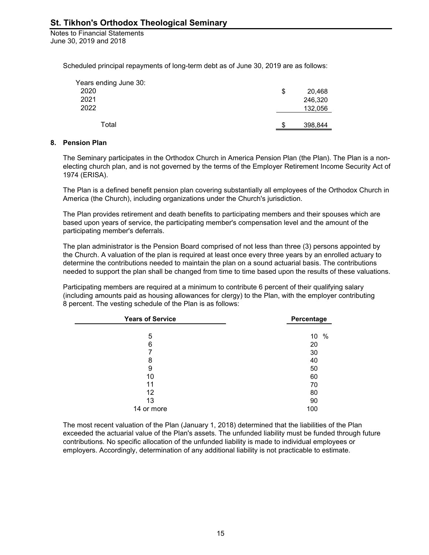Scheduled principal repayments of long-term debt as of June 30, 2019 are as follows:

| Years ending June 30: |   |         |
|-----------------------|---|---------|
| 2020                  | S | 20,468  |
| 2021                  |   | 246,320 |
| 2022                  |   | 132,056 |
|                       |   |         |
| Total                 | S | 398,844 |

#### **8. Pension Plan**

The Seminary participates in the Orthodox Church in America Pension Plan (the Plan). The Plan is a nonelecting church plan, and is not governed by the terms of the Employer Retirement Income Security Act of 1974 (ERISA).

The Plan is a defined benefit pension plan covering substantially all employees of the Orthodox Church in America (the Church), including organizations under the Church's jurisdiction.

The Plan provides retirement and death benefits to participating members and their spouses which are based upon years of service, the participating member's compensation level and the amount of the participating member's deferrals.

The plan administrator is the Pension Board comprised of not less than three (3) persons appointed by the Church. A valuation of the plan is required at least once every three years by an enrolled actuary to determine the contributions needed to maintain the plan on a sound actuarial basis. The contributions needed to support the plan shall be changed from time to time based upon the results of these valuations.

Participating members are required at a minimum to contribute 6 percent of their qualifying salary (including amounts paid as housing allowances for clergy) to the Plan, with the employer contributing 8 percent. The vesting schedule of the Plan is as follows:

| <b>Years of Service</b> | Percentage              |
|-------------------------|-------------------------|
| 5                       | $\%$<br>10 <sup>°</sup> |
| 6                       | 20                      |
|                         | 30                      |
| 8                       | 40                      |
| 9                       | 50                      |
| 10                      | 60                      |
| 11                      | 70                      |
| 12                      | 80                      |
| 13                      | 90                      |
| 14 or more              | 100                     |

The most recent valuation of the Plan (January 1, 2018) determined that the liabilities of the Plan exceeded the actuarial value of the Plan's assets. The unfunded liability must be funded through future contributions. No specific allocation of the unfunded liability is made to individual employees or employers. Accordingly, determination of any additional liability is not practicable to estimate.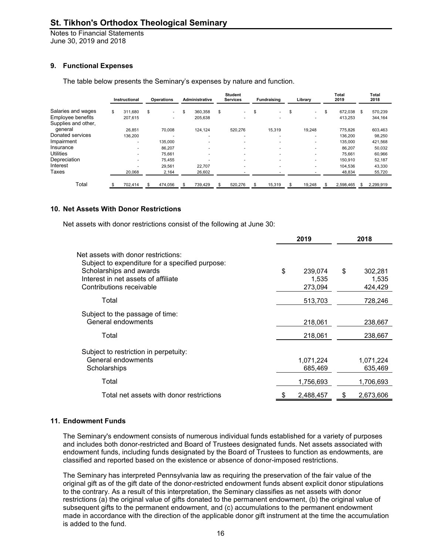Notes to Financial Statements June 30, 2019 and 2018

#### **9. Functional Expenses**

|                     | Instructional |    | <b>Operations</b>        | Administrative | <b>Student</b><br><b>Services</b> | Fundraising              | Library                  |    | Total<br>2019 | <b>Total</b><br>2018 |
|---------------------|---------------|----|--------------------------|----------------|-----------------------------------|--------------------------|--------------------------|----|---------------|----------------------|
| Salaries and wages  | \$<br>311.680 | \$ | $\overline{\phantom{a}}$ | \$<br>360.358  | \$<br>۰.                          | \$<br>$\sim$             | \$<br>٠                  | \$ | 672,038       | \$<br>570,239        |
| Employee benefits   | 207.615       |    |                          | 205,638        | $\overline{\phantom{a}}$          | ٠                        | $\overline{\phantom{a}}$ |    | 413.253       | 344,164              |
| Supplies and other, |               |    |                          |                |                                   |                          |                          |    |               |                      |
| general             | 26,851        |    | 70,008                   | 124,124        | 520,276                           | 15,319                   | 19,248                   |    | 775,826       | 603,463              |
| Donated services    | 136,200       |    |                          |                |                                   |                          | $\overline{a}$           |    | 136,200       | 98,250               |
| Impairment          | ۰             |    | 135,000                  |                | $\overline{\phantom{a}}$          | $\overline{\phantom{a}}$ |                          |    | 135,000       | 421,568              |
| Insurance           | ٠             |    | 86.207                   |                | $\overline{\phantom{a}}$          | $\overline{\phantom{a}}$ | ٠                        |    | 86,207        | 50,032               |
| <b>Utilities</b>    | ۰             |    | 75.661                   |                | $\overline{\phantom{a}}$          |                          |                          |    | 75,661        | 60,966               |
| Depreciation        |               |    | 75,455                   |                |                                   | ۰                        | ٠                        |    | 150,910       | 52,187               |
| Interest            |               |    | 29.561                   | 22,707         | $\overline{\phantom{a}}$          | $\overline{\phantom{a}}$ | ٠                        |    | 104,536       | 43,330               |
| Taxes               | 20,068        |    | 2,164                    | 26,602         |                                   |                          |                          |    | 48,834        | 55,720               |
| Total               | 702,414       | S  | 474,056                  | \$<br>739,429  | \$<br>520,276                     | 15,319                   | 19,248                   | S  | 2,598,465     | \$<br>2,299,919      |

The table below presents the Seminary's expenses by nature and function.

#### **10. Net Assets With Donor Restrictions**

Net assets with donor restrictions consist of the following at June 30:

|                                                                                                                                                                                      | 2019                              |    | 2018                        |  |
|--------------------------------------------------------------------------------------------------------------------------------------------------------------------------------------|-----------------------------------|----|-----------------------------|--|
| Net assets with donor restrictions:<br>Subject to expenditure for a specified purpose:<br>Scholarships and awards<br>Interest in net assets of affiliate<br>Contributions receivable | \$<br>239,074<br>1,535<br>273,094 | \$ | 302,281<br>1,535<br>424,429 |  |
| Total                                                                                                                                                                                | 513,703                           |    | 728,246                     |  |
| Subject to the passage of time:<br>General endowments<br>Total                                                                                                                       | 218,061<br>218,061                |    | 238,667<br>238,667          |  |
| Subject to restriction in perpetuity:<br>General endowments<br>Scholarships                                                                                                          | 1,071,224<br>685,469              |    | 1,071,224<br>635,469        |  |
| Total                                                                                                                                                                                | 1,756,693                         |    | 1,706,693                   |  |
| Total net assets with donor restrictions                                                                                                                                             | \$<br>2,488,457                   | S  | 2,673,606                   |  |

#### **11. Endowment Funds**

The Seminary's endowment consists of numerous individual funds established for a variety of purposes and includes both donor-restricted and Board of Trustees designated funds. Net assets associated with endowment funds, including funds designated by the Board of Trustees to function as endowments, are classified and reported based on the existence or absence of donor-imposed restrictions.

The Seminary has interpreted Pennsylvania law as requiring the preservation of the fair value of the original gift as of the gift date of the donor-restricted endowment funds absent explicit donor stipulations to the contrary. As a result of this interpretation, the Seminary classifies as net assets with donor restrictions (a) the original value of gifts donated to the permanent endowment, (b) the original value of subsequent gifts to the permanent endowment, and (c) accumulations to the permanent endowment made in accordance with the direction of the applicable donor gift instrument at the time the accumulation is added to the fund.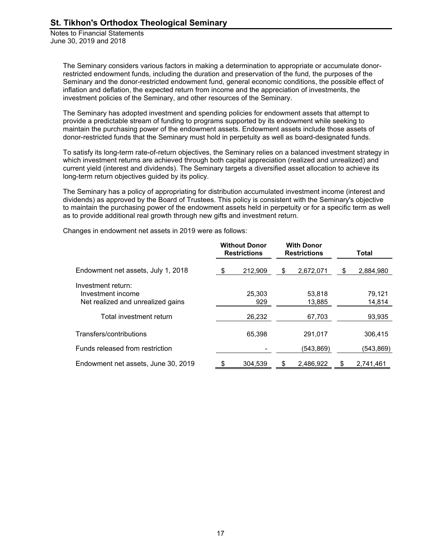> The Seminary considers various factors in making a determination to appropriate or accumulate donorrestricted endowment funds, including the duration and preservation of the fund, the purposes of the Seminary and the donor-restricted endowment fund, general economic conditions, the possible effect of inflation and deflation, the expected return from income and the appreciation of investments, the investment policies of the Seminary, and other resources of the Seminary.

The Seminary has adopted investment and spending policies for endowment assets that attempt to provide a predictable stream of funding to programs supported by its endowment while seeking to maintain the purchasing power of the endowment assets. Endowment assets include those assets of donor-restricted funds that the Seminary must hold in perpetuity as well as board-designated funds.

To satisfy its long-term rate-of-return objectives, the Seminary relies on a balanced investment strategy in which investment returns are achieved through both capital appreciation (realized and unrealized) and current yield (interest and dividends). The Seminary targets a diversified asset allocation to achieve its long-term return objectives guided by its policy.

The Seminary has a policy of appropriating for distribution accumulated investment income (interest and dividends) as approved by the Board of Trustees. This policy is consistent with the Seminary's objective to maintain the purchasing power of the endowment assets held in perpetuity or for a specific term as well as to provide additional real growth through new gifts and investment return.

Changes in endowment net assets in 2019 were as follows:

|                                     | <b>Without Donor</b><br><b>Restrictions</b> |    | <b>With Donor</b><br><b>Restrictions</b> |    | Total     |
|-------------------------------------|---------------------------------------------|----|------------------------------------------|----|-----------|
| Endowment net assets, July 1, 2018  | \$<br>212.909                               | \$ | 2,672,071                                | \$ | 2,884,980 |
| Investment return:                  |                                             |    |                                          |    |           |
| Investment income                   | 25.303                                      |    | 53.818                                   |    | 79.121    |
| Net realized and unrealized gains   | 929                                         |    | 13,885                                   |    | 14,814    |
| Total investment return             | 26,232                                      |    | 67,703                                   |    | 93,935    |
| Transfers/contributions             | 65.398                                      |    | 291.017                                  |    | 306,415   |
| Funds released from restriction     |                                             |    | (543,869)                                |    | (543,869) |
| Endowment net assets, June 30, 2019 | \$<br>304.539                               | S  | 2,486,922                                | \$ | 2,741,461 |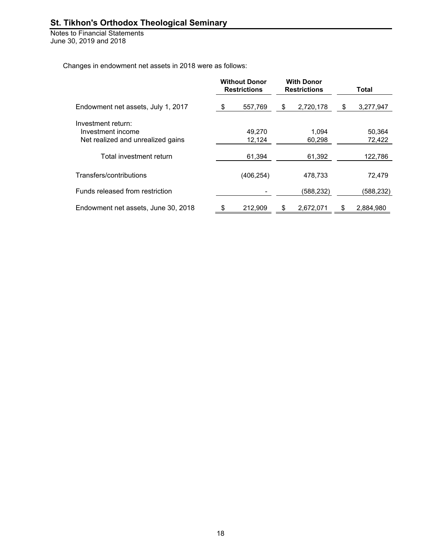Notes to Financial Statements June 30, 2019 and 2018

Changes in endowment net assets in 2018 were as follows:

|                                         | <b>Without Donor</b><br><b>With Donor</b><br><b>Restrictions</b><br><b>Restrictions</b> |            |                 | <b>Total</b> |                  |
|-----------------------------------------|-----------------------------------------------------------------------------------------|------------|-----------------|--------------|------------------|
| Endowment net assets, July 1, 2017      | - \$                                                                                    | 557,769    | \$<br>2,720,178 | \$           | 3,277,947        |
| Investment return:<br>Investment income |                                                                                         | 49.270     |                 |              |                  |
| Net realized and unrealized gains       |                                                                                         | 12,124     | 1,094<br>60,298 |              | 50,364<br>72,422 |
| Total investment return                 |                                                                                         | 61,394     | 61,392          |              | 122,786          |
| Transfers/contributions                 |                                                                                         | (406, 254) | 478,733         |              | 72,479           |
| Funds released from restriction         |                                                                                         |            | (588,232)       |              | (588,232)        |
| Endowment net assets, June 30, 2018     | \$                                                                                      | 212,909    | \$<br>2,672,071 | S            | 2,884,980        |